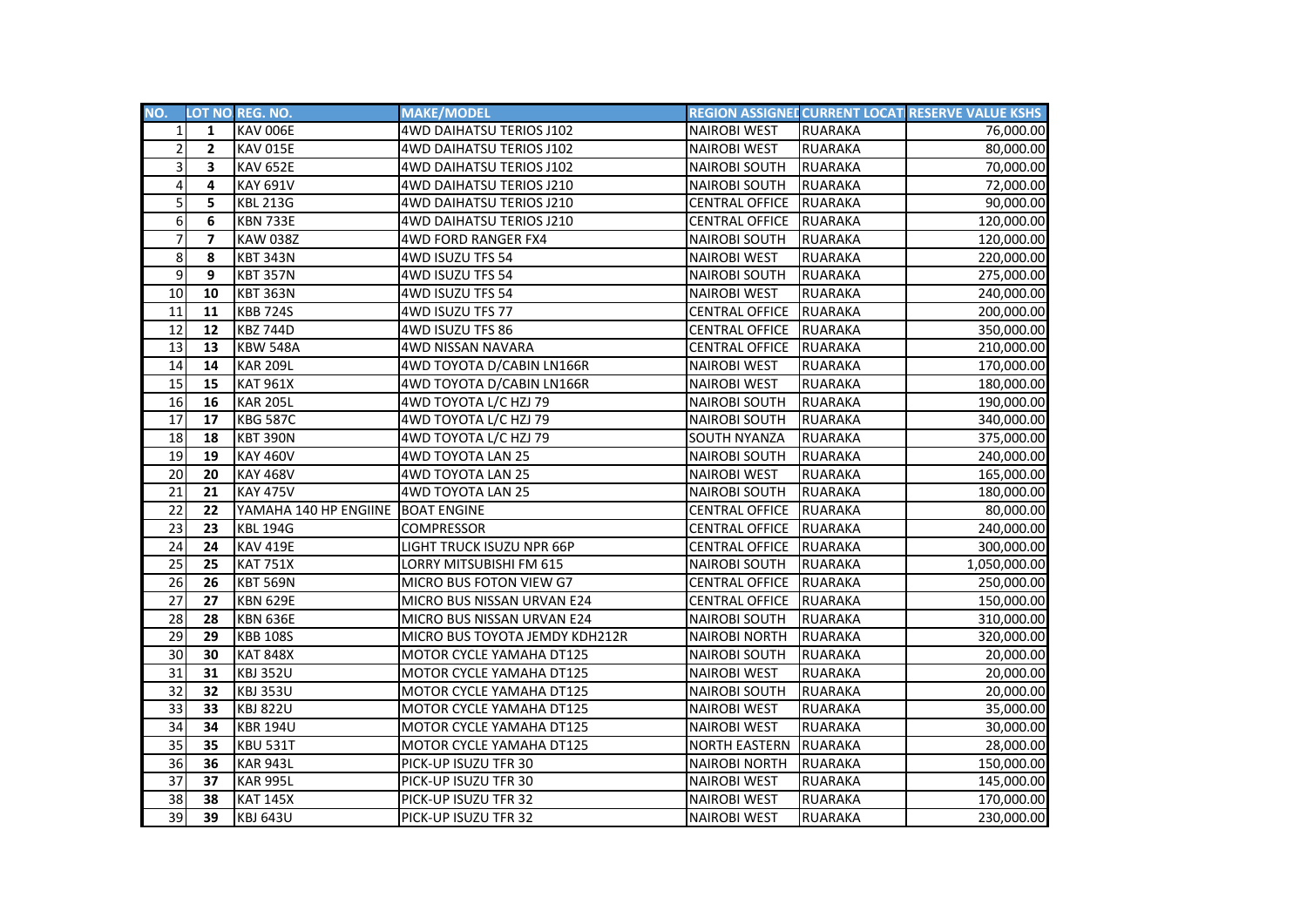| NO.             |                         | LOT NO. REG. NO.      | <b>MAKE/MODEL</b>               |                       |                | REGION ASSIGNED CURRENT LOCATI RESERVE VALUE KSHS |
|-----------------|-------------------------|-----------------------|---------------------------------|-----------------------|----------------|---------------------------------------------------|
| $1\vert$        | $\mathbf{1}$            | <b>KAV 006E</b>       | 4WD DAIHATSU TERIOS J102        | <b>NAIROBI WEST</b>   | <b>RUARAKA</b> | 76,000.00                                         |
| $\overline{2}$  | $\mathbf{2}$            | <b>KAV 015E</b>       | 4WD DAIHATSU TERIOS J102        | <b>NAIROBI WEST</b>   | <b>RUARAKA</b> | 80,000.00                                         |
| 3               | 3                       | <b>KAV 652E</b>       | 4WD DAIHATSU TERIOS J102        | <b>NAIROBI SOUTH</b>  | <b>RUARAKA</b> | 70,000.00                                         |
| 4               | 4                       | <b>KAY 691V</b>       | 4WD DAIHATSU TERIOS J210        | <b>NAIROBI SOUTH</b>  | <b>RUARAKA</b> | 72,000.00                                         |
| 5               | 5.                      | <b>KBL 213G</b>       | <b>4WD DAIHATSU TERIOS J210</b> | <b>CENTRAL OFFICE</b> | <b>RUARAKA</b> | 90,000.00                                         |
| 6               | 6                       | <b>KBN 733E</b>       | 4WD DAIHATSU TERIOS J210        | CENTRAL OFFICE        | <b>RUARAKA</b> | 120,000.00                                        |
| $\overline{7}$  | $\overline{\mathbf{z}}$ | <b>KAW 038Z</b>       | 4WD FORD RANGER FX4             | <b>NAIROBI SOUTH</b>  | <b>RUARAKA</b> | 120,000.00                                        |
| 8               | 8                       | <b>KBT 343N</b>       | 4WD ISUZU TFS 54                | <b>NAIROBI WEST</b>   | <b>RUARAKA</b> | 220,000.00                                        |
| 9               | 9                       | <b>KBT 357N</b>       | 4WD ISUZU TFS 54                | <b>NAIROBI SOUTH</b>  | <b>RUARAKA</b> | 275,000.00                                        |
| 10              | 10                      | <b>KBT 363N</b>       | 4WD ISUZU TFS 54                | <b>NAIROBI WEST</b>   | <b>RUARAKA</b> | 240,000.00                                        |
| 11              | 11                      | <b>KBB 724S</b>       | 4WD ISUZU TFS 77                | <b>CENTRAL OFFICE</b> | <b>RUARAKA</b> | 200,000.00                                        |
| 12              | 12                      | <b>KBZ 744D</b>       | 4WD ISUZU TFS 86                | <b>CENTRAL OFFICE</b> | <b>RUARAKA</b> | 350,000.00                                        |
| 13              | 13                      | <b>KBW 548A</b>       | 4WD NISSAN NAVARA               | CENTRAL OFFICE        | <b>RUARAKA</b> | 210,000.00                                        |
| 14              | 14                      | <b>KAR 209L</b>       | 4WD TOYOTA D/CABIN LN166R       | <b>NAIROBI WEST</b>   | <b>RUARAKA</b> | 170,000.00                                        |
| 15              | 15                      | <b>KAT 961X</b>       | 4WD TOYOTA D/CABIN LN166R       | <b>NAIROBI WEST</b>   | <b>RUARAKA</b> | 180,000.00                                        |
| $\overline{16}$ | 16                      | <b>KAR 205L</b>       | 4WD TOYOTA L/C HZJ 79           | <b>NAIROBI SOUTH</b>  | <b>RUARAKA</b> | 190,000.00                                        |
| 17              | 17                      | <b>KBG 587C</b>       | 4WD TOYOTA L/C HZJ 79           | <b>NAIROBI SOUTH</b>  | <b>RUARAKA</b> | 340,000.00                                        |
| 18              | 18                      | <b>KBT 390N</b>       | 4WD TOYOTA L/C HZJ 79           | SOUTH NYANZA          | <b>RUARAKA</b> | 375,000.00                                        |
| 19              | 19                      | <b>KAY 460V</b>       | 4WD TOYOTA LAN 25               | <b>NAIROBI SOUTH</b>  | <b>RUARAKA</b> | 240,000.00                                        |
| 20              | 20                      | <b>KAY 468V</b>       | 4WD TOYOTA LAN 25               | <b>NAIROBI WEST</b>   | <b>RUARAKA</b> | 165,000.00                                        |
| 21              | 21                      | <b>KAY 475V</b>       | 4WD TOYOTA LAN 25               | <b>NAIROBI SOUTH</b>  | <b>RUARAKA</b> | 180,000.00                                        |
| 22              | 22                      | YAMAHA 140 HP ENGIINE | <b>BOAT ENGINE</b>              | CENTRAL OFFICE        | <b>RUARAKA</b> | 80,000.00                                         |
| 23              | 23                      | <b>KBL 194G</b>       | <b>COMPRESSOR</b>               | <b>CENTRAL OFFICE</b> | <b>RUARAKA</b> | 240,000.00                                        |
| 24              | 24                      | <b>KAV 419E</b>       | LIGHT TRUCK ISUZU NPR 66P       | <b>CENTRAL OFFICE</b> | <b>RUARAKA</b> | 300,000.00                                        |
| 25              | 25                      | <b>KAT 751X</b>       | LORRY MITSUBISHI FM 615         | <b>NAIROBI SOUTH</b>  | <b>RUARAKA</b> | 1,050,000.00                                      |
| 26              | 26                      | <b>KBT 569N</b>       | MICRO BUS FOTON VIEW G7         | <b>CENTRAL OFFICE</b> | <b>RUARAKA</b> | 250,000.00                                        |
| 27              | 27                      | <b>KBN 629E</b>       | MICRO BUS NISSAN URVAN E24      | <b>CENTRAL OFFICE</b> | <b>RUARAKA</b> | 150,000.00                                        |
| 28              | 28                      | <b>KBN 636E</b>       | MICRO BUS NISSAN URVAN E24      | <b>NAIROBI SOUTH</b>  | <b>RUARAKA</b> | 310,000.00                                        |
| 29              | 29                      | <b>KBB 108S</b>       | MICRO BUS TOYOTA JEMDY KDH212R  | <b>NAIROBI NORTH</b>  | <b>RUARAKA</b> | 320,000.00                                        |
| 30              | 30                      | <b>KAT 848X</b>       | MOTOR CYCLE YAMAHA DT125        | <b>NAIROBI SOUTH</b>  | <b>RUARAKA</b> | 20,000.00                                         |
| $\overline{31}$ | 31                      | <b>KBJ 352U</b>       | MOTOR CYCLE YAMAHA DT125        | <b>NAIROBI WEST</b>   | <b>RUARAKA</b> | 20,000.00                                         |
| $\overline{32}$ | 32                      | <b>KBJ 353U</b>       | MOTOR CYCLE YAMAHA DT125        | <b>NAIROBI SOUTH</b>  | <b>RUARAKA</b> | 20,000.00                                         |
| $\overline{33}$ | 33                      | <b>KBJ 822U</b>       | MOTOR CYCLE YAMAHA DT125        | <b>NAIROBI WEST</b>   | <b>RUARAKA</b> | 35,000.00                                         |
| 34              | 34                      | <b>KBR 194U</b>       | MOTOR CYCLE YAMAHA DT125        | <b>NAIROBI WEST</b>   | <b>RUARAKA</b> | 30,000.00                                         |
| 35              | 35                      | <b>KBU 531T</b>       | MOTOR CYCLE YAMAHA DT125        | <b>NORTH EASTERN</b>  | <b>RUARAKA</b> | 28,000.00                                         |
| 36              | 36                      | <b>KAR 943L</b>       | PICK-UP ISUZU TFR 30            | <b>NAIROBI NORTH</b>  | <b>RUARAKA</b> | 150,000.00                                        |
| $\overline{37}$ | 37                      | <b>KAR 995L</b>       | PICK-UP ISUZU TFR 30            | <b>NAIROBI WEST</b>   | <b>RUARAKA</b> | 145,000.00                                        |
| 38              | 38                      | <b>KAT 145X</b>       | PICK-UP ISUZU TFR 32            | <b>NAIROBI WEST</b>   | <b>RUARAKA</b> | 170,000.00                                        |
| $\overline{39}$ | 39                      | <b>KBJ 643U</b>       | PICK-UP ISUZU TFR 32            | <b>NAIROBI WEST</b>   | <b>RUARAKA</b> | 230,000.00                                        |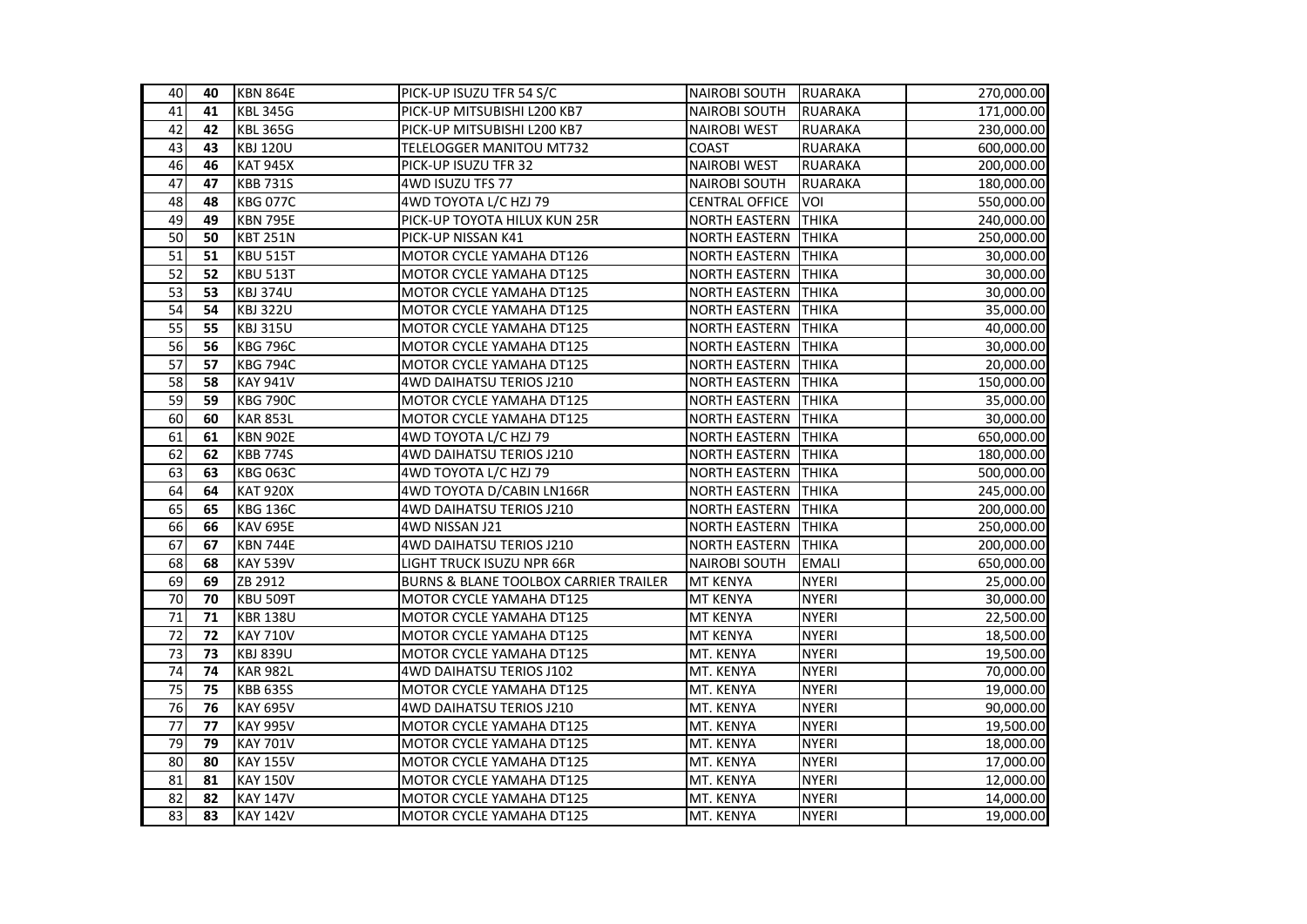| 40              | 40 | <b>KBN 864E</b> | PICK-UP ISUZU TFR 54 S/C              | <b>NAIROBI SOUTH</b>  | RUARAKA        | 270,000.00 |
|-----------------|----|-----------------|---------------------------------------|-----------------------|----------------|------------|
| 41              | 41 | <b>KBL 345G</b> | PICK-UP MITSUBISHI L200 KB7           | <b>NAIROBI SOUTH</b>  | <b>RUARAKA</b> | 171,000.00 |
| 42              | 42 | <b>KBL 365G</b> | PICK-UP MITSUBISHI L200 KB7           | <b>NAIROBI WEST</b>   | <b>RUARAKA</b> | 230,000.00 |
| 43              | 43 | <b>KBJ 120U</b> | TELELOGGER MANITOU MT732              | COAST                 | <b>RUARAKA</b> | 600,000.00 |
| 46              | 46 | <b>KAT 945X</b> | PICK-UP ISUZU TFR 32                  | <b>NAIROBI WEST</b>   | <b>RUARAKA</b> | 200,000.00 |
| 47              | 47 | <b>KBB 731S</b> | 4WD ISUZU TFS 77                      | <b>NAIROBI SOUTH</b>  | <b>RUARAKA</b> | 180,000.00 |
| 48              | 48 | <b>KBG 077C</b> | 4WD TOYOTA L/C HZJ 79                 | <b>CENTRAL OFFICE</b> | VOI            | 550,000.00 |
| 49              | 49 | <b>KBN 795E</b> | PICK-UP TOYOTA HILUX KUN 25R          | <b>NORTH EASTERN</b>  | <b>THIKA</b>   | 240,000.00 |
| 50              | 50 | <b>KBT 251N</b> | PICK-UP NISSAN K41                    | <b>NORTH EASTERN</b>  | <b>THIKA</b>   | 250,000.00 |
| 51              | 51 | <b>KBU 515T</b> | MOTOR CYCLE YAMAHA DT126              | <b>NORTH EASTERN</b>  | <b>THIKA</b>   | 30,000.00  |
| 52              | 52 | <b>KBU 513T</b> | MOTOR CYCLE YAMAHA DT125              | NORTH EASTERN         | <b>THIKA</b>   | 30,000.00  |
| 53              | 53 | <b>KBJ 374U</b> | MOTOR CYCLE YAMAHA DT125              | <b>NORTH EASTERN</b>  | <b>THIKA</b>   | 30,000.00  |
| $\overline{54}$ | 54 | <b>KBJ 322U</b> | MOTOR CYCLE YAMAHA DT125              | NORTH EASTERN THIKA   |                | 35,000.00  |
| $\overline{55}$ | 55 | <b>KBJ 315U</b> | MOTOR CYCLE YAMAHA DT125              | <b>NORTH EASTERN</b>  | <b>THIKA</b>   | 40,000.00  |
| 56              | 56 | <b>KBG 796C</b> | MOTOR CYCLE YAMAHA DT125              | <b>NORTH EASTERN</b>  | <b>THIKA</b>   | 30,000.00  |
| 57              | 57 | <b>KBG 794C</b> | MOTOR CYCLE YAMAHA DT125              | <b>NORTH EASTERN</b>  | <b>THIKA</b>   | 20,000.00  |
| $\overline{58}$ | 58 | <b>KAY 941V</b> | 4WD DAIHATSU TERIOS J210              | <b>NORTH EASTERN</b>  | <b>THIKA</b>   | 150,000.00 |
| 59              | 59 | <b>KBG 790C</b> | MOTOR CYCLE YAMAHA DT125              | <b>NORTH EASTERN</b>  | <b>THIKA</b>   | 35,000.00  |
| 60              | 60 | <b>KAR 853L</b> | MOTOR CYCLE YAMAHA DT125              | NORTH EASTERN         | <b>THIKA</b>   | 30,000.00  |
| 61              | 61 | <b>KBN 902E</b> | 4WD TOYOTA L/C HZJ 79                 | <b>NORTH EASTERN</b>  | <b>THIKA</b>   | 650,000.00 |
| 62              | 62 | <b>KBB 774S</b> | 4WD DAIHATSU TERIOS J210              | <b>NORTH EASTERN</b>  | <b>THIKA</b>   | 180,000.00 |
| 63              | 63 | <b>KBG 063C</b> | 4WD TOYOTA L/C HZJ 79                 | NORTH EASTERN         | <b>THIKA</b>   | 500,000.00 |
| 64              | 64 | <b>KAT 920X</b> | 4WD TOYOTA D/CABIN LN166R             | <b>NORTH EASTERN</b>  | <b>THIKA</b>   | 245,000.00 |
| 65              | 65 | <b>KBG 136C</b> | 4WD DAIHATSU TERIOS J210              | <b>NORTH EASTERN</b>  | <b>THIKA</b>   | 200,000.00 |
| 66              | 66 | <b>KAV 695E</b> | 4WD NISSAN J21                        | <b>NORTH EASTERN</b>  | <b>THIKA</b>   | 250,000.00 |
| 67              | 67 | <b>KBN 744E</b> | 4WD DAIHATSU TERIOS J210              | <b>NORTH EASTERN</b>  | <b>THIKA</b>   | 200,000.00 |
| 68              | 68 | <b>KAY 539V</b> | LIGHT TRUCK ISUZU NPR 66R             | <b>NAIROBI SOUTH</b>  | <b>EMALI</b>   | 650,000.00 |
| 69              | 69 | ZB 2912         | BURNS & BLANE TOOLBOX CARRIER TRAILER | MT KENYA              | <b>NYERI</b>   | 25,000.00  |
| 70              | 70 | <b>KBU 509T</b> | MOTOR CYCLE YAMAHA DT125              | <b>MT KENYA</b>       | <b>NYERI</b>   | 30,000.00  |
| 71              | 71 | <b>KBR 138U</b> | MOTOR CYCLE YAMAHA DT125              | <b>MT KENYA</b>       | <b>NYERI</b>   | 22,500.00  |
| $\overline{72}$ | 72 | <b>KAY 710V</b> | MOTOR CYCLE YAMAHA DT125              | <b>MT KENYA</b>       | <b>NYERI</b>   | 18,500.00  |
| $\overline{73}$ | 73 | <b>KBJ 839U</b> | MOTOR CYCLE YAMAHA DT125              | MT. KENYA             | <b>NYERI</b>   | 19,500.00  |
| 74              | 74 | <b>KAR 982L</b> | 4WD DAIHATSU TERIOS J102              | MT. KENYA             | <b>NYERI</b>   | 70,000.00  |
| $\overline{75}$ | 75 | <b>KBB 635S</b> | MOTOR CYCLE YAMAHA DT125              | MT. KENYA             | <b>NYERI</b>   | 19,000.00  |
| $\overline{76}$ | 76 | <b>KAY 695V</b> | 4WD DAIHATSU TERIOS J210              | MT. KENYA             | <b>NYERI</b>   | 90,000.00  |
| $\overline{77}$ | 77 | <b>KAY 995V</b> | MOTOR CYCLE YAMAHA DT125              | MT. KENYA             | <b>NYERI</b>   | 19,500.00  |
| $\overline{79}$ | 79 | <b>KAY 701V</b> | MOTOR CYCLE YAMAHA DT125              | MT. KENYA             | <b>NYERI</b>   | 18,000.00  |
| 80              | 80 | <b>KAY 155V</b> | MOTOR CYCLE YAMAHA DT125              | MT. KENYA             | <b>NYERI</b>   | 17,000.00  |
| 81              | 81 | <b>KAY 150V</b> | MOTOR CYCLE YAMAHA DT125              | MT. KENYA             | <b>NYERI</b>   | 12,000.00  |
| 82              | 82 | <b>KAY 147V</b> | MOTOR CYCLE YAMAHA DT125              | MT. KENYA             | <b>NYERI</b>   | 14,000.00  |
| 83              | 83 | <b>KAY 142V</b> | MOTOR CYCLE YAMAHA DT125              | MT. KENYA             | <b>NYERI</b>   | 19,000.00  |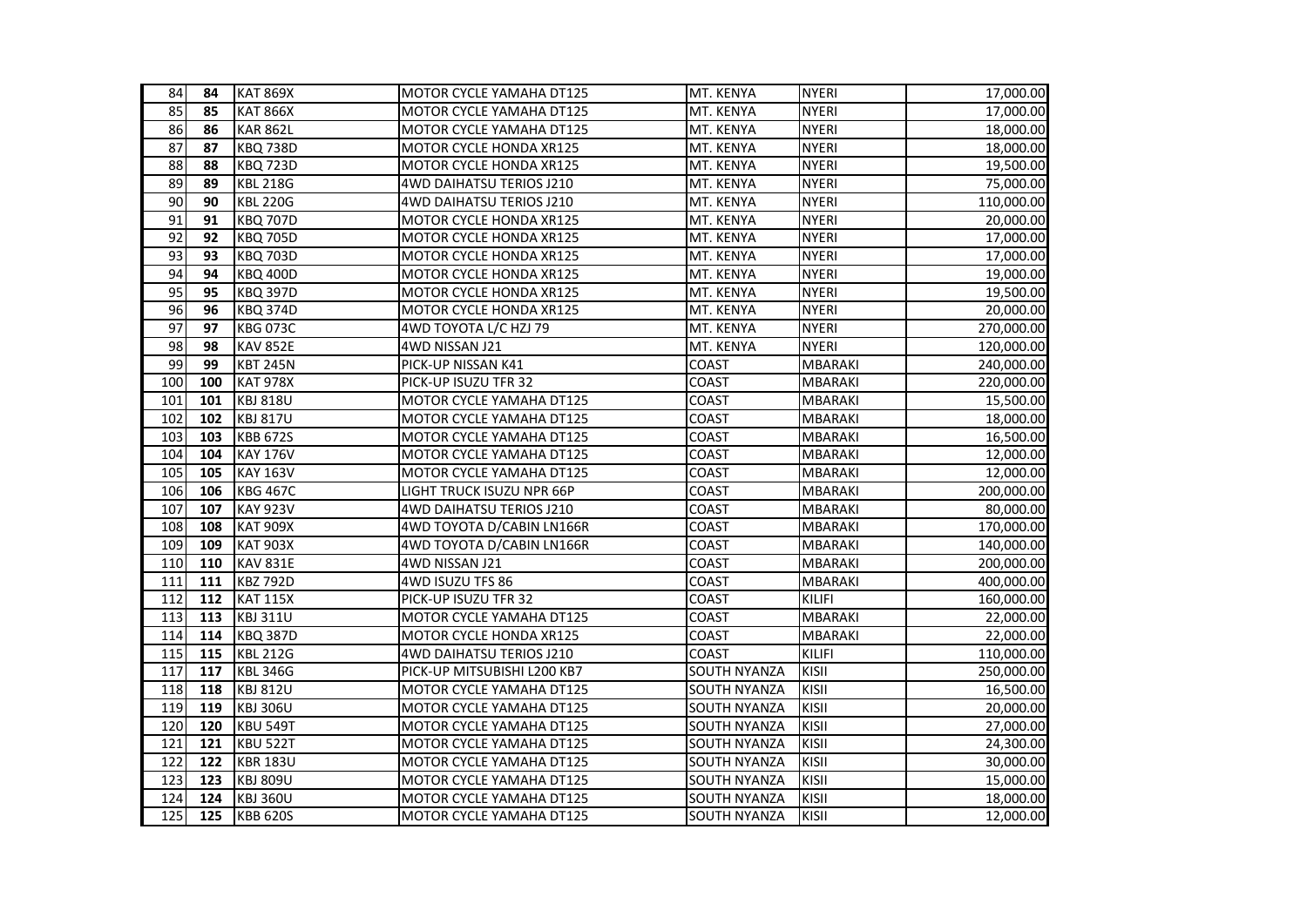| 84              | 84  | <b>KAT 869X</b> | MOTOR CYCLE YAMAHA DT125    | MT. KENYA           | <b>NYERI</b>   | 17,000.00  |
|-----------------|-----|-----------------|-----------------------------|---------------------|----------------|------------|
| 85              | 85  | <b>KAT 866X</b> | MOTOR CYCLE YAMAHA DT125    | MT. KENYA           | <b>NYERI</b>   | 17,000.00  |
| 86              | 86  | <b>KAR 862L</b> | MOTOR CYCLE YAMAHA DT125    | MT. KENYA           | <b>NYERI</b>   | 18,000.00  |
| 87              | 87  | <b>KBQ 738D</b> | MOTOR CYCLE HONDA XR125     | MT. KENYA           | <b>NYERI</b>   | 18,000.00  |
| 88              | 88  | <b>KBQ 723D</b> | MOTOR CYCLE HONDA XR125     | MT. KENYA           | <b>NYERI</b>   | 19,500.00  |
| 89              | 89  | <b>KBL 218G</b> | 4WD DAIHATSU TERIOS J210    | MT. KENYA           | NYERI          | 75,000.00  |
| 90              | 90  | <b>KBL 220G</b> | 4WD DAIHATSU TERIOS J210    | MT. KENYA           | <b>NYERI</b>   | 110,000.00 |
| 91              | 91  | <b>KBQ 707D</b> | MOTOR CYCLE HONDA XR125     | MT. KENYA           | <b>NYERI</b>   | 20,000.00  |
| 92              | 92  | <b>KBQ 705D</b> | MOTOR CYCLE HONDA XR125     | MT. KENYA           | <b>NYERI</b>   | 17,000.00  |
| 93              | 93  | <b>KBQ 703D</b> | MOTOR CYCLE HONDA XR125     | MT. KENYA           | <b>NYERI</b>   | 17,000.00  |
| 94              | 94  | <b>KBQ 400D</b> | MOTOR CYCLE HONDA XR125     | MT. KENYA           | <b>NYERI</b>   | 19,000.00  |
| 95              | 95  | <b>KBQ 397D</b> | MOTOR CYCLE HONDA XR125     | MT. KENYA           | <b>NYERI</b>   | 19,500.00  |
| $\overline{96}$ | 96  | <b>KBQ 374D</b> | MOTOR CYCLE HONDA XR125     | MT. KENYA           | <b>NYERI</b>   | 20,000.00  |
| 97              | 97  | <b>KBG 073C</b> | 4WD TOYOTA L/C HZJ 79       | MT. KENYA           | <b>NYERI</b>   | 270,000.00 |
| 98              | 98  | <b>KAV 852E</b> | 4WD NISSAN J21              | MT. KENYA           | <b>NYERI</b>   | 120,000.00 |
| 99              | 99  | <b>KBT 245N</b> | PICK-UP NISSAN K41          | COAST               | <b>MBARAKI</b> | 240,000.00 |
| 100             | 100 | <b>KAT 978X</b> | PICK-UP ISUZU TFR 32        | COAST               | MBARAKI        | 220,000.00 |
| 101             | 101 | <b>KBJ 818U</b> | MOTOR CYCLE YAMAHA DT125    | COAST               | MBARAKI        | 15,500.00  |
| 102             | 102 | <b>KBJ 817U</b> | MOTOR CYCLE YAMAHA DT125    | COAST               | <b>MBARAKI</b> | 18,000.00  |
| 103             | 103 | <b>KBB 672S</b> | MOTOR CYCLE YAMAHA DT125    | COAST               | <b>MBARAKI</b> | 16,500.00  |
| 104             | 104 | <b>KAY 176V</b> | MOTOR CYCLE YAMAHA DT125    | <b>COAST</b>        | <b>MBARAKI</b> | 12,000.00  |
| 105             | 105 | <b>KAY 163V</b> | MOTOR CYCLE YAMAHA DT125    | COAST               | MBARAKI        | 12,000.00  |
| 106             | 106 | <b>KBG 467C</b> | LIGHT TRUCK ISUZU NPR 66P   | COAST               | MBARAKI        | 200,000.00 |
| 107             | 107 | <b>KAY 923V</b> | 4WD DAIHATSU TERIOS J210    | COAST               | MBARAKI        | 80,000.00  |
| 108             | 108 | <b>KAT 909X</b> | 4WD TOYOTA D/CABIN LN166R   | COAST               | <b>MBARAKI</b> | 170,000.00 |
| 109             | 109 | <b>KAT 903X</b> | 4WD TOYOTA D/CABIN LN166R   | COAST               | MBARAKI        | 140,000.00 |
| 110             | 110 | <b>KAV 831E</b> | 4WD NISSAN J21              | COAST               | MBARAKI        | 200,000.00 |
| 111             | 111 | <b>KBZ 792D</b> | 4WD ISUZU TFS 86            | COAST               | MBARAKI        | 400,000.00 |
| 112             | 112 | <b>KAT 115X</b> | PICK-UP ISUZU TFR 32        | COAST               | <b>KILIFI</b>  | 160,000.00 |
| 113             | 113 | <b>KBJ 311U</b> | MOTOR CYCLE YAMAHA DT125    | COAST               | MBARAKI        | 22,000.00  |
| 114             | 114 | <b>KBQ 387D</b> | MOTOR CYCLE HONDA XR125     | <b>COAST</b>        | MBARAKI        | 22,000.00  |
| 115             | 115 | <b>KBL 212G</b> | 4WD DAIHATSU TERIOS J210    | <b>COAST</b>        | KILIFI         | 110,000.00 |
| 117             | 117 | <b>KBL 346G</b> | PICK-UP MITSUBISHI L200 KB7 | SOUTH NYANZA        | KISII          | 250,000.00 |
| 118             | 118 | <b>KBJ 812U</b> | MOTOR CYCLE YAMAHA DT125    | SOUTH NYANZA        | KISII          | 16,500.00  |
| 119             | 119 | <b>KBJ 306U</b> | MOTOR CYCLE YAMAHA DT125    | SOUTH NYANZA        | KISII          | 20,000.00  |
| 120             | 120 | <b>KBU 549T</b> | MOTOR CYCLE YAMAHA DT125    | SOUTH NYANZA        | KISII          | 27,000.00  |
| 121             | 121 | <b>KBU 522T</b> | MOTOR CYCLE YAMAHA DT125    | <b>SOUTH NYANZA</b> | KISII          | 24,300.00  |
| 122             | 122 | <b>KBR 183U</b> | MOTOR CYCLE YAMAHA DT125    | SOUTH NYANZA        | KISII          | 30,000.00  |
| 123             | 123 | <b>KBJ 809U</b> | MOTOR CYCLE YAMAHA DT125    | SOUTH NYANZA        | KISII          | 15,000.00  |
| 124             | 124 | <b>KBJ 360U</b> | MOTOR CYCLE YAMAHA DT125    | SOUTH NYANZA        | KISII          | 18,000.00  |
| 125             | 125 | <b>KBB 620S</b> | MOTOR CYCLE YAMAHA DT125    | SOUTH NYANZA        | KISII          | 12,000.00  |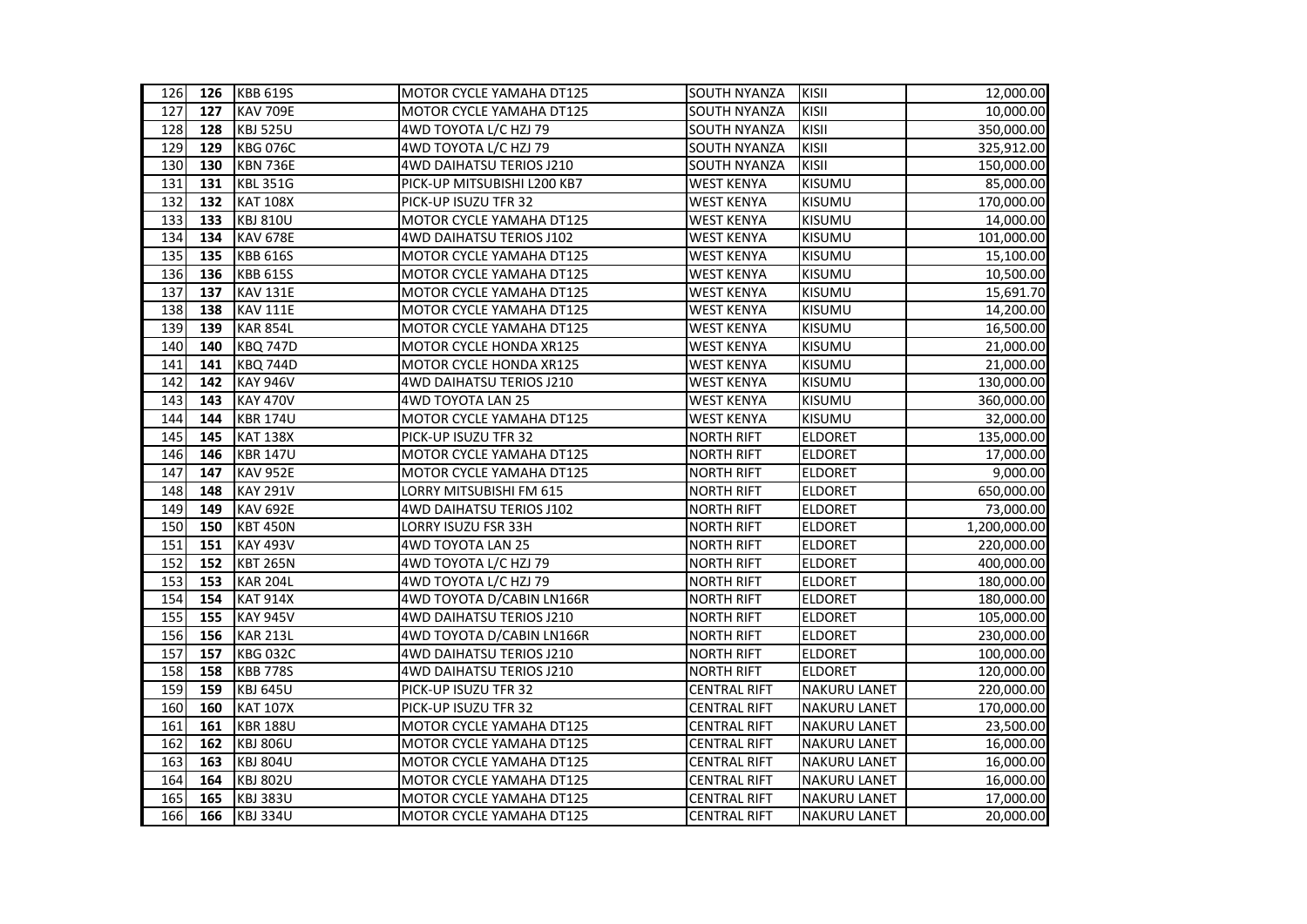| 126 | 126 | <b>KBB 619S</b> | <b>MOTOR CYCLE YAMAHA DT125</b> | SOUTH NYANZA        | KISII               | 12,000.00    |
|-----|-----|-----------------|---------------------------------|---------------------|---------------------|--------------|
| 127 | 127 | <b>KAV 709E</b> | MOTOR CYCLE YAMAHA DT125        | <b>SOUTH NYANZA</b> | KISII               | 10,000.00    |
| 128 | 128 | <b>KBJ 525U</b> | 4WD TOYOTA L/C HZJ 79           | <b>SOUTH NYANZA</b> | KISII               | 350,000.00   |
| 129 | 129 | <b>KBG 076C</b> | 4WD TOYOTA L/C HZJ 79           | SOUTH NYANZA        | KISII               | 325,912.00   |
| 130 | 130 | <b>KBN 736E</b> | 4WD DAIHATSU TERIOS J210        | SOUTH NYANZA        | <b>KISII</b>        | 150,000.00   |
| 131 | 131 | <b>KBL 351G</b> | PICK-UP MITSUBISHI L200 KB7     | <b>WEST KENYA</b>   | KISUMU              | 85,000.00    |
| 132 | 132 | <b>KAT 108X</b> | PICK-UP ISUZU TFR 32            | <b>WEST KENYA</b>   | KISUMU              | 170,000.00   |
| 133 | 133 | <b>KBJ 810U</b> | MOTOR CYCLE YAMAHA DT125        | <b>WEST KENYA</b>   | <b>KISUMU</b>       | 14,000.00    |
| 134 | 134 | <b>KAV 678E</b> | 4WD DAIHATSU TERIOS J102        | <b>WEST KENYA</b>   | <b>KISUMU</b>       | 101,000.00   |
| 135 | 135 | <b>KBB 616S</b> | MOTOR CYCLE YAMAHA DT125        | <b>WEST KENYA</b>   | KISUMU              | 15,100.00    |
| 136 | 136 | <b>KBB 615S</b> | MOTOR CYCLE YAMAHA DT125        | <b>WEST KENYA</b>   | <b>KISUMU</b>       | 10,500.00    |
| 137 | 137 | <b>KAV 131E</b> | MOTOR CYCLE YAMAHA DT125        | <b>WEST KENYA</b>   | KISUMU              | 15,691.70    |
| 138 | 138 | <b>KAV 111E</b> | MOTOR CYCLE YAMAHA DT125        | <b>WEST KENYA</b>   | KISUMU              | 14,200.00    |
| 139 | 139 | <b>KAR 854L</b> | MOTOR CYCLE YAMAHA DT125        | <b>WEST KENYA</b>   | KISUMU              | 16,500.00    |
| 140 | 140 | <b>KBQ 747D</b> | MOTOR CYCLE HONDA XR125         | <b>WEST KENYA</b>   | KISUMU              | 21,000.00    |
| 141 | 141 | <b>KBQ 744D</b> | MOTOR CYCLE HONDA XR125         | <b>WEST KENYA</b>   | KISUMU              | 21,000.00    |
| 142 | 142 | <b>KAY 946V</b> | 4WD DAIHATSU TERIOS J210        | <b>WEST KENYA</b>   | <b>KISUMU</b>       | 130,000.00   |
| 143 | 143 | <b>KAY 470V</b> | 4WD TOYOTA LAN 25               | <b>WEST KENYA</b>   | <b>KISUMU</b>       | 360,000.00   |
| 144 | 144 | <b>KBR 174U</b> | MOTOR CYCLE YAMAHA DT125        | <b>WEST KENYA</b>   | KISUMU              | 32,000.00    |
| 145 | 145 | <b>KAT 138X</b> | PICK-UP ISUZU TFR 32            | <b>NORTH RIFT</b>   | <b>ELDORET</b>      | 135,000.00   |
| 146 | 146 | <b>KBR 147U</b> | MOTOR CYCLE YAMAHA DT125        | <b>NORTH RIFT</b>   | <b>ELDORET</b>      | 17,000.00    |
| 147 | 147 | <b>KAV 952E</b> | MOTOR CYCLE YAMAHA DT125        | <b>NORTH RIFT</b>   | <b>ELDORET</b>      | 9,000.00     |
| 148 | 148 | <b>KAY 291V</b> | LORRY MITSUBISHI FM 615         | <b>NORTH RIFT</b>   | <b>ELDORET</b>      | 650,000.00   |
| 149 | 149 | <b>KAV 692E</b> | 4WD DAIHATSU TERIOS J102        | <b>NORTH RIFT</b>   | <b>ELDORET</b>      | 73,000.00    |
| 150 | 150 | <b>KBT 450N</b> | LORRY ISUZU FSR 33H             | <b>NORTH RIFT</b>   | <b>ELDORET</b>      | 1,200,000.00 |
| 151 | 151 | <b>KAY 493V</b> | 4WD TOYOTA LAN 25               | <b>NORTH RIFT</b>   | <b>ELDORET</b>      | 220,000.00   |
| 152 | 152 | <b>KBT 265N</b> | 4WD TOYOTA L/C HZJ 79           | <b>NORTH RIFT</b>   | <b>ELDORET</b>      | 400,000.00   |
| 153 | 153 | <b>KAR 204L</b> | 4WD TOYOTA L/C HZJ 79           | <b>NORTH RIFT</b>   | <b>ELDORET</b>      | 180,000.00   |
| 154 | 154 | <b>KAT 914X</b> | 4WD TOYOTA D/CABIN LN166R       | <b>NORTH RIFT</b>   | <b>ELDORET</b>      | 180,000.00   |
| 155 | 155 | <b>KAY 945V</b> | 4WD DAIHATSU TERIOS J210        | <b>NORTH RIFT</b>   | <b>ELDORET</b>      | 105,000.00   |
| 156 | 156 | <b>KAR 213L</b> | 4WD TOYOTA D/CABIN LN166R       | <b>NORTH RIFT</b>   | <b>ELDORET</b>      | 230,000.00   |
| 157 | 157 | <b>KBG 032C</b> | 4WD DAIHATSU TERIOS J210        | <b>NORTH RIFT</b>   | <b>ELDORET</b>      | 100,000.00   |
| 158 | 158 | <b>KBB 778S</b> | 4WD DAIHATSU TERIOS J210        | <b>NORTH RIFT</b>   | <b>ELDORET</b>      | 120,000.00   |
| 159 | 159 | <b>KBJ 645U</b> | PICK-UP ISUZU TFR 32            | <b>CENTRAL RIFT</b> | <b>NAKURU LANET</b> | 220,000.00   |
| 160 | 160 | <b>KAT 107X</b> | PICK-UP ISUZU TFR 32            | <b>CENTRAL RIFT</b> | <b>NAKURU LANET</b> | 170,000.00   |
| 161 | 161 | <b>KBR 188U</b> | MOTOR CYCLE YAMAHA DT125        | <b>CENTRAL RIFT</b> | <b>NAKURU LANET</b> | 23,500.00    |
| 162 | 162 | <b>KBJ 806U</b> | MOTOR CYCLE YAMAHA DT125        | <b>CENTRAL RIFT</b> | <b>NAKURU LANET</b> | 16,000.00    |
| 163 | 163 | <b>KBJ 804U</b> | MOTOR CYCLE YAMAHA DT125        | <b>CENTRAL RIFT</b> | <b>NAKURU LANET</b> | 16,000.00    |
| 164 | 164 | <b>KBJ 802U</b> | MOTOR CYCLE YAMAHA DT125        | <b>CENTRAL RIFT</b> | <b>NAKURU LANET</b> | 16,000.00    |
| 165 | 165 | <b>KBJ 383U</b> | MOTOR CYCLE YAMAHA DT125        | <b>CENTRAL RIFT</b> | <b>NAKURU LANET</b> | 17,000.00    |
| 166 | 166 | <b>KBJ 334U</b> | MOTOR CYCLE YAMAHA DT125        | <b>CENTRAL RIFT</b> | <b>NAKURU LANET</b> | 20,000.00    |